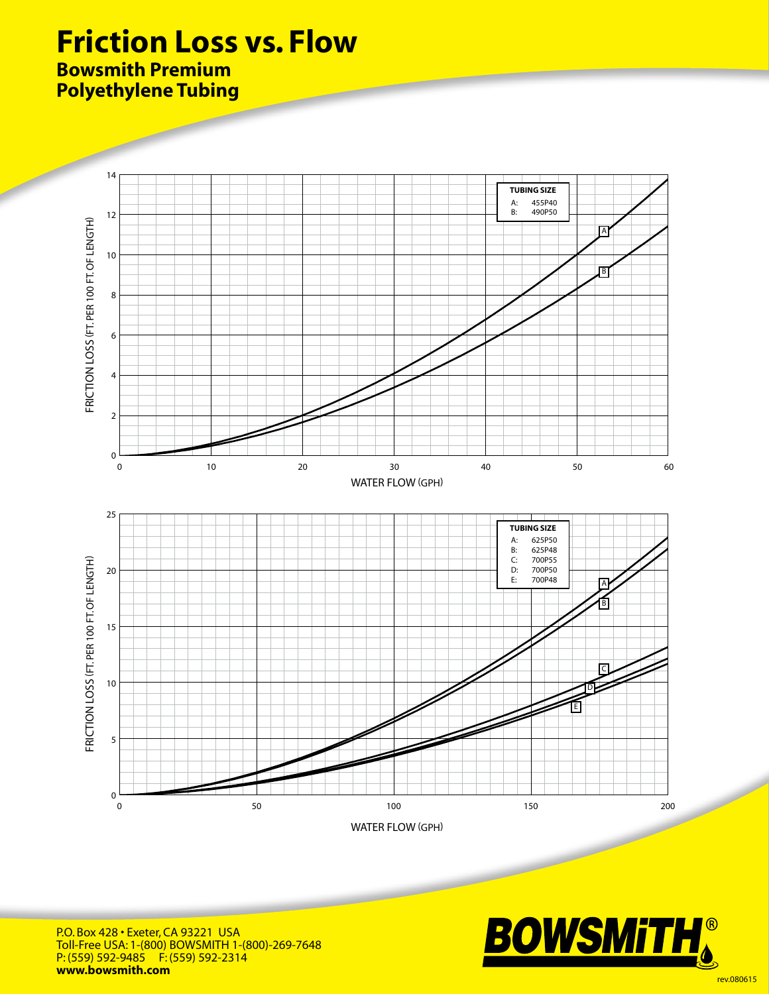## **Friction Loss vs. Flow**

## **Bowsmith Premium Polyethylene Tubing**



P.O. Box 428 • Exeter, CA 93221 USA Toll-Free USA: 1-(800) BOWSMITH 1-(800)-269-7648 P: (559) 592-9485 F: (559) 592-2314 **www.bowsmith.com**